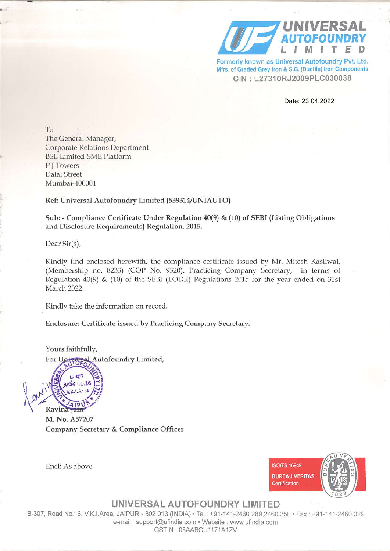

Formerly known as Universal Autofoundry Pvt. Ltd. Mfrs. of Graded Grey Iron & S.G. (Ductile) Iron Components CIN: L27310RJ2009PLC030038

Date: 23.04.2022

To The General Manager, **Corporate Relations Department BSE Limited-SME Platform** PITowers Dalal Street Mumbai-400001

## Ref: Universal Autofoundry Limited (539314/UNIAUTO)

Sub: - Compliance Certificate Under Regulation 40(9) & (10) of SEBI (Listing Obligations and Disclosure Requirements) Regulation, 2015.

Dear Sir(s),

Kindly find enclosed herewith, the compliance certificate issued by Mr. Mitesh Kasliwal, (Membership no. 8233) (COP No. 9320), Practicing Company Secretary, in terms of Regulation  $40(9)$  & (10) of the SEBI (LODR) Regulations 2015 for the year ended on 31st March 2022.

Kindly take the information on record.

Enclosure: Certificate issued by Practicing Company Secretary.

Yours faithfully,

ersal Autofoundry Limited, For  $\text{Un}$ 

 $307$  $6.36$ **Ravina** 

Encl: As above

M. No. A57207 Company Secretary & Compliance Officer



UNIVERSAL AUTOFOUNDRY LIMITED

B-307, Road No.16, V.K.I.Area, JAIPUR - 302 013 (INDIA) · Tel.: +91-141-2460 289,2460 356 · Fax: +91-141-2460 329 e-mail: support@ufindia.com · Website: www.ufindia.com GSTIN: 08AABCU1171A1ZV